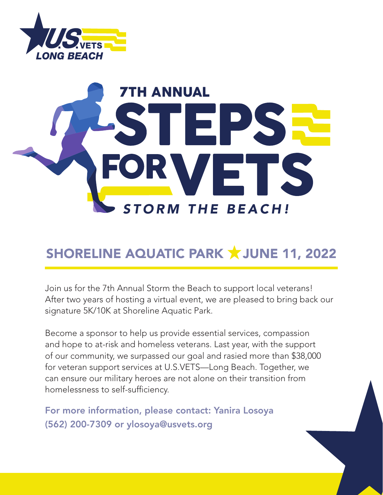

# **TORM THE BEACH!** 7TH ANNUAL

### SHORELINE AQUATIC PARK **X** JUNE 11, 2022

Join us for the 7th Annual Storm the Beach to support local veterans! After two years of hosting a virtual event, we are pleased to bring back our signature 5K/10K at Shoreline Aquatic Park.

Become a sponsor to help us provide essential services, compassion and hope to at-risk and homeless veterans. Last year, with the support of our community, we surpassed our goal and rasied more than \$38,000 for veteran support services at U.S.VETS—Long Beach. Together, we can ensure our military heroes are not alone on their transition from homelessness to self-sufficiency.

For more information, please contact: Yanira Losoya (562) 200-7309 or ylosoya@usvets.org